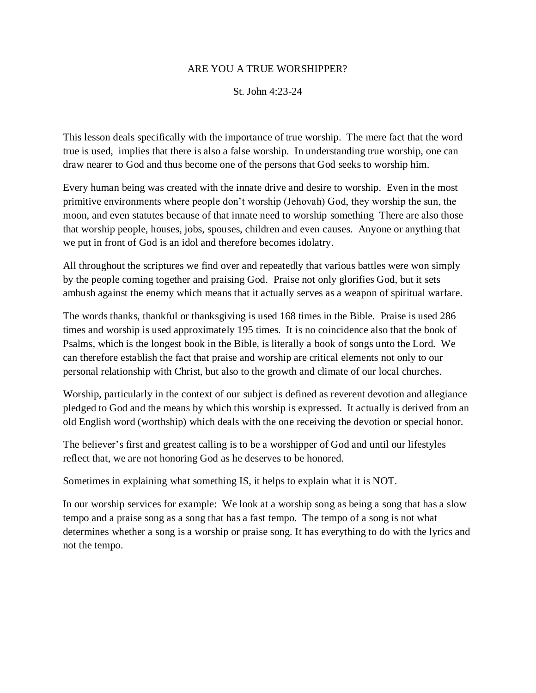#### ARE YOU A TRUE WORSHIPPER?

St. John 4:23-24

This lesson deals specifically with the importance of true worship. The mere fact that the word true is used, implies that there is also a false worship. In understanding true worship, one can draw nearer to God and thus become one of the persons that God seeks to worship him.

Every human being was created with the innate drive and desire to worship. Even in the most primitive environments where people don't worship (Jehovah) God, they worship the sun, the moon, and even statutes because of that innate need to worship something There are also those that worship people, houses, jobs, spouses, children and even causes. Anyone or anything that we put in front of God is an idol and therefore becomes idolatry.

All throughout the scriptures we find over and repeatedly that various battles were won simply by the people coming together and praising God. Praise not only glorifies God, but it sets ambush against the enemy which means that it actually serves as a weapon of spiritual warfare.

The words thanks, thankful or thanksgiving is used 168 times in the Bible. Praise is used 286 times and worship is used approximately 195 times. It is no coincidence also that the book of Psalms, which is the longest book in the Bible, is literally a book of songs unto the Lord. We can therefore establish the fact that praise and worship are critical elements not only to our personal relationship with Christ, but also to the growth and climate of our local churches.

Worship, particularly in the context of our subject is defined as reverent devotion and allegiance pledged to God and the means by which this worship is expressed. It actually is derived from an old English word (worthship) which deals with the one receiving the devotion or special honor.

The believer's first and greatest calling is to be a worshipper of God and until our lifestyles reflect that, we are not honoring God as he deserves to be honored.

Sometimes in explaining what something IS, it helps to explain what it is NOT.

In our worship services for example: We look at a worship song as being a song that has a slow tempo and a praise song as a song that has a fast tempo. The tempo of a song is not what determines whether a song is a worship or praise song. It has everything to do with the lyrics and not the tempo.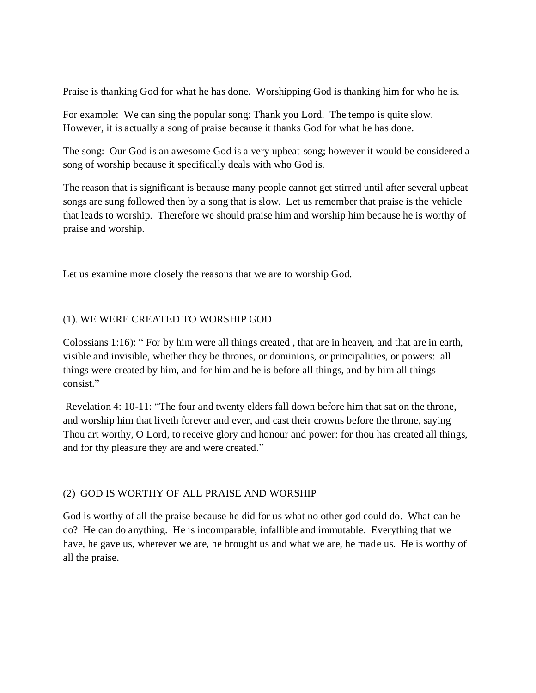Praise is thanking God for what he has done. Worshipping God is thanking him for who he is.

For example: We can sing the popular song: Thank you Lord. The tempo is quite slow. However, it is actually a song of praise because it thanks God for what he has done.

The song: Our God is an awesome God is a very upbeat song; however it would be considered a song of worship because it specifically deals with who God is.

The reason that is significant is because many people cannot get stirred until after several upbeat songs are sung followed then by a song that is slow. Let us remember that praise is the vehicle that leads to worship. Therefore we should praise him and worship him because he is worthy of praise and worship.

Let us examine more closely the reasons that we are to worship God.

#### (1). WE WERE CREATED TO WORSHIP GOD

Colossians 1:16): " For by him were all things created , that are in heaven, and that are in earth, visible and invisible, whether they be thrones, or dominions, or principalities, or powers: all things were created by him, and for him and he is before all things, and by him all things consist."

Revelation 4: 10-11: "The four and twenty elders fall down before him that sat on the throne, and worship him that liveth forever and ever, and cast their crowns before the throne, saying Thou art worthy, O Lord, to receive glory and honour and power: for thou has created all things, and for thy pleasure they are and were created."

## (2) GOD IS WORTHY OF ALL PRAISE AND WORSHIP

God is worthy of all the praise because he did for us what no other god could do. What can he do? He can do anything. He is incomparable, infallible and immutable. Everything that we have, he gave us, wherever we are, he brought us and what we are, he made us. He is worthy of all the praise.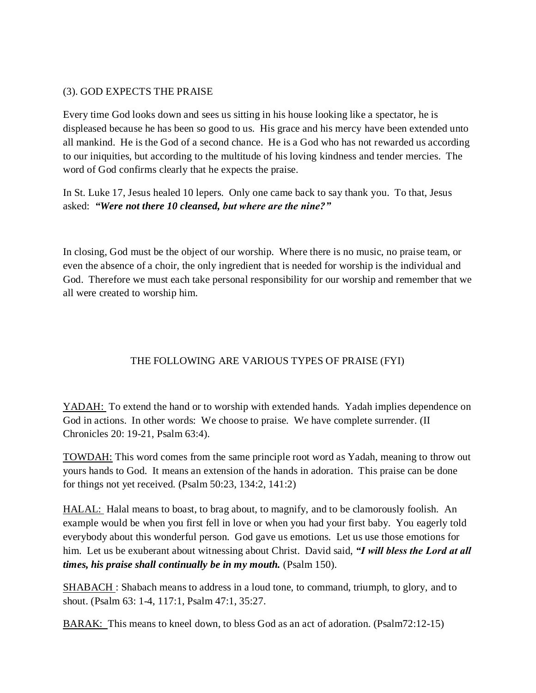### (3). GOD EXPECTS THE PRAISE

Every time God looks down and sees us sitting in his house looking like a spectator, he is displeased because he has been so good to us. His grace and his mercy have been extended unto all mankind. He is the God of a second chance. He is a God who has not rewarded us according to our iniquities, but according to the multitude of his loving kindness and tender mercies. The word of God confirms clearly that he expects the praise.

In St. Luke 17, Jesus healed 10 lepers. Only one came back to say thank you. To that, Jesus asked: *"Were not there 10 cleansed, but where are the nine?"*

In closing, God must be the object of our worship. Where there is no music, no praise team, or even the absence of a choir, the only ingredient that is needed for worship is the individual and God. Therefore we must each take personal responsibility for our worship and remember that we all were created to worship him.

# THE FOLLOWING ARE VARIOUS TYPES OF PRAISE (FYI)

YADAH: To extend the hand or to worship with extended hands. Yadah implies dependence on God in actions. In other words: We choose to praise. We have complete surrender. (II Chronicles 20: 19-21, Psalm 63:4).

TOWDAH: This word comes from the same principle root word as Yadah, meaning to throw out yours hands to God. It means an extension of the hands in adoration. This praise can be done for things not yet received. (Psalm 50:23, 134:2, 141:2)

HALAL: Halal means to boast, to brag about, to magnify, and to be clamorously foolish. An example would be when you first fell in love or when you had your first baby. You eagerly told everybody about this wonderful person. God gave us emotions. Let us use those emotions for him. Let us be exuberant about witnessing about Christ. David said, *"I will bless the Lord at all times, his praise shall continually be in my mouth.* (Psalm 150).

SHABACH : Shabach means to address in a loud tone, to command, triumph, to glory, and to shout. (Psalm 63: 1-4, 117:1, Psalm 47:1, 35:27.

BARAK: This means to kneel down, to bless God as an act of adoration. (Psalm72:12-15)